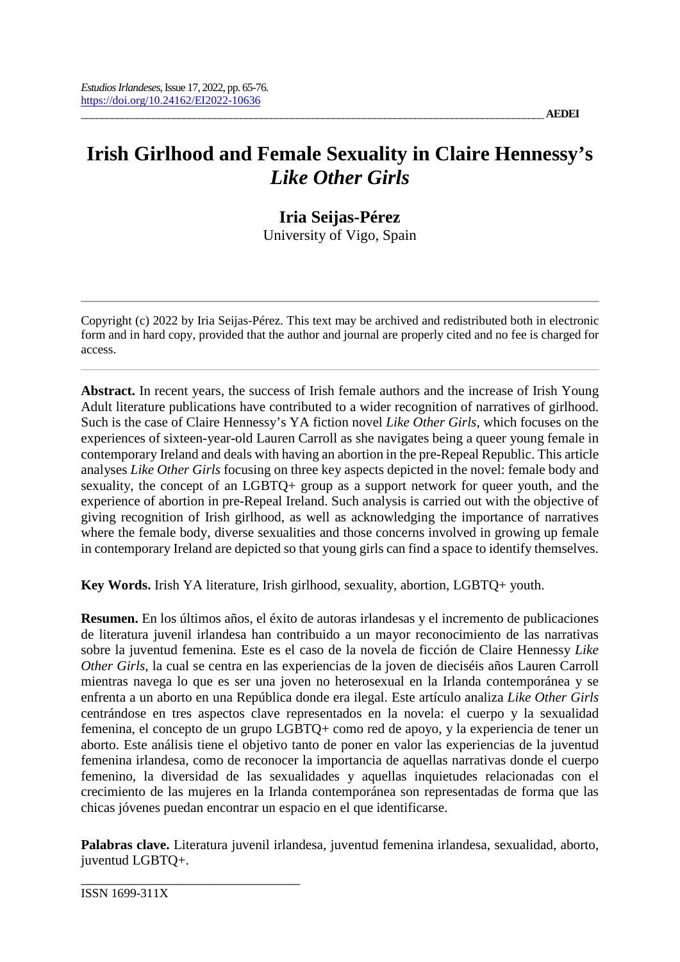# **Irish Girlhood and Female Sexuality in Claire Hennessy's**  *Like Other Girls*

**Iria Seijas-Pérez** University of Vigo, Spain

Copyright (c) 2022 by Iria Seijas-Pérez. This text may be archived and redistributed both in electronic form and in hard copy, provided that the author and journal are properly cited and no fee is charged for access.

**Abstract.** In recent years, the success of Irish female authors and the increase of Irish Young Adult literature publications have contributed to a wider recognition of narratives of girlhood. Such is the case of Claire Hennessy's YA fiction novel *Like Other Girls*, which focuses on the experiences of sixteen-year-old Lauren Carroll as she navigates being a queer young female in contemporary Ireland and deals with having an abortion in the pre-Repeal Republic. This article analyses *Like Other Girls* focusing on three key aspects depicted in the novel: female body and sexuality, the concept of an LGBTQ+ group as a support network for queer youth, and the experience of abortion in pre-Repeal Ireland. Such analysis is carried out with the objective of giving recognition of Irish girlhood, as well as acknowledging the importance of narratives where the female body, diverse sexualities and those concerns involved in growing up female in contemporary Ireland are depicted so that young girls can find a space to identify themselves.

**Key Words.** Irish YA literature, Irish girlhood, sexuality, abortion, LGBTQ+ youth.

**Resumen.** En los últimos años, el éxito de autoras irlandesas y el incremento de publicaciones de literatura juvenil irlandesa han contribuido a un mayor reconocimiento de las narrativas sobre la juventud femenina. Este es el caso de la novela de ficción de Claire Hennessy *Like Other Girls*, la cual se centra en las experiencias de la joven de dieciséis años Lauren Carroll mientras navega lo que es ser una joven no heterosexual en la Irlanda contemporánea y se enfrenta a un aborto en una República donde era ilegal. Este artículo analiza *Like Other Girls*  centrándose en tres aspectos clave representados en la novela: el cuerpo y la sexualidad femenina, el concepto de un grupo LGBTQ+ como red de apoyo, y la experiencia de tener un aborto. Este análisis tiene el objetivo tanto de poner en valor las experiencias de la juventud femenina irlandesa, como de reconocer la importancia de aquellas narrativas donde el cuerpo femenino, la diversidad de las sexualidades y aquellas inquietudes relacionadas con el crecimiento de las mujeres en la Irlanda contemporánea son representadas de forma que las chicas jóvenes puedan encontrar un espacio en el que identificarse.

**Palabras clave.** Literatura juvenil irlandesa, juventud femenina irlandesa, sexualidad, aborto, juventud LGBTQ+.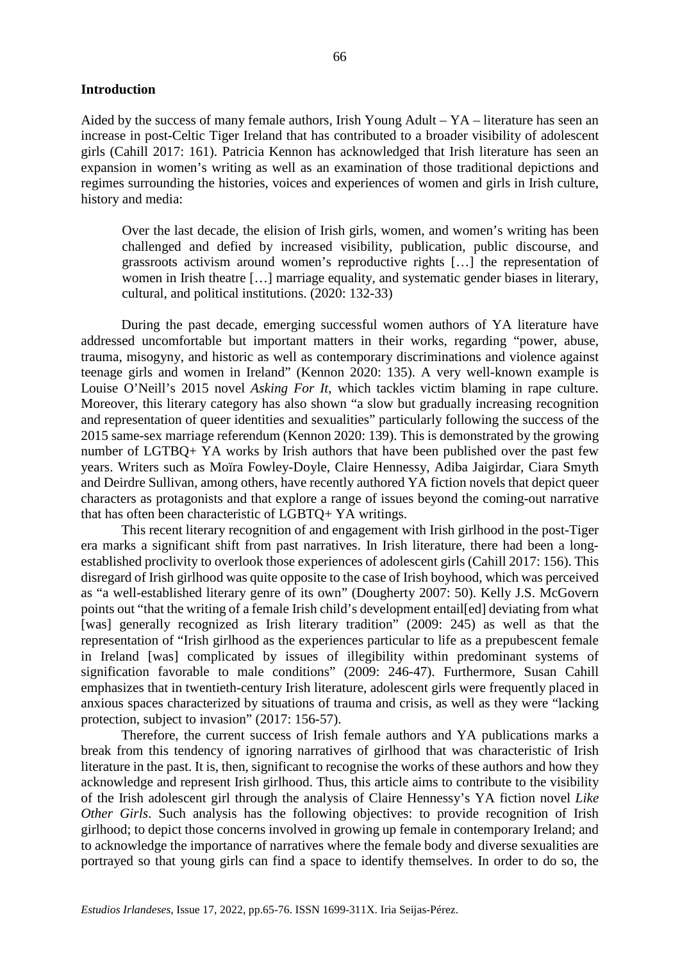#### **Introduction**

Aided by the success of many female authors, Irish Young Adult – YA – literature has seen an increase in post-Celtic Tiger Ireland that has contributed to a broader visibility of adolescent girls (Cahill 2017: 161). Patricia Kennon has acknowledged that Irish literature has seen an expansion in women's writing as well as an examination of those traditional depictions and regimes surrounding the histories, voices and experiences of women and girls in Irish culture, history and media:

Over the last decade, the elision of Irish girls, women, and women's writing has been challenged and defied by increased visibility, publication, public discourse, and grassroots activism around women's reproductive rights […] the representation of women in Irish theatre […] marriage equality, and systematic gender biases in literary, cultural, and political institutions. (2020: 132-33)

During the past decade, emerging successful women authors of YA literature have addressed uncomfortable but important matters in their works, regarding "power, abuse, trauma, misogyny, and historic as well as contemporary discriminations and violence against teenage girls and women in Ireland" (Kennon 2020: 135). A very well-known example is Louise O'Neill's 2015 novel *Asking For It*, which tackles victim blaming in rape culture. Moreover, this literary category has also shown "a slow but gradually increasing recognition and representation of queer identities and sexualities" particularly following the success of the 2015 same-sex marriage referendum (Kennon 2020: 139). This is demonstrated by the growing number of LGTBQ+ YA works by Irish authors that have been published over the past few years. Writers such as Moïra Fowley-Doyle, Claire Hennessy, Adiba Jaigirdar, Ciara Smyth and Deirdre Sullivan, among others, have recently authored YA fiction novels that depict queer characters as protagonists and that explore a range of issues beyond the coming-out narrative that has often been characteristic of LGBTQ+ YA writings.

This recent literary recognition of and engagement with Irish girlhood in the post-Tiger era marks a significant shift from past narratives. In Irish literature, there had been a longestablished proclivity to overlook those experiences of adolescent girls (Cahill 2017: 156). This disregard of Irish girlhood was quite opposite to the case of Irish boyhood, which was perceived as "a well-established literary genre of its own" (Dougherty 2007: 50). Kelly J.S. McGovern points out "that the writing of a female Irish child's development entail[ed] deviating from what [was] generally recognized as Irish literary tradition" (2009: 245) as well as that the representation of "Irish girlhood as the experiences particular to life as a prepubescent female in Ireland [was] complicated by issues of illegibility within predominant systems of signification favorable to male conditions" (2009: 246-47). Furthermore, Susan Cahill emphasizes that in twentieth-century Irish literature, adolescent girls were frequently placed in anxious spaces characterized by situations of trauma and crisis, as well as they were "lacking protection, subject to invasion" (2017: 156-57).

Therefore, the current success of Irish female authors and YA publications marks a break from this tendency of ignoring narratives of girlhood that was characteristic of Irish literature in the past. It is, then, significant to recognise the works of these authors and how they acknowledge and represent Irish girlhood. Thus, this article aims to contribute to the visibility of the Irish adolescent girl through the analysis of Claire Hennessy's YA fiction novel *Like Other Girls*. Such analysis has the following objectives: to provide recognition of Irish girlhood; to depict those concerns involved in growing up female in contemporary Ireland; and to acknowledge the importance of narratives where the female body and diverse sexualities are portrayed so that young girls can find a space to identify themselves. In order to do so, the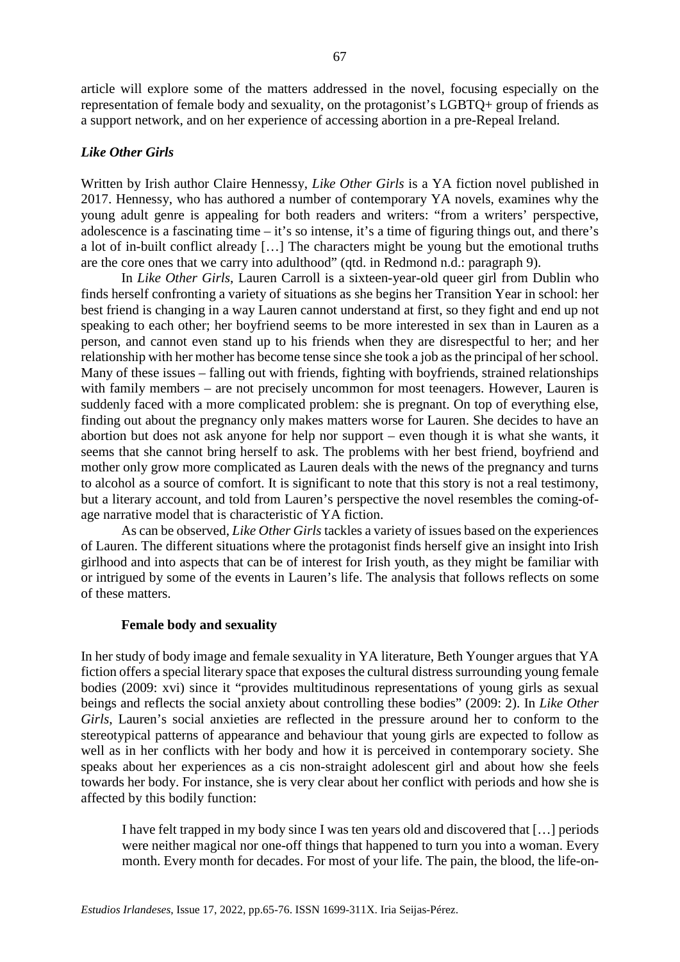article will explore some of the matters addressed in the novel, focusing especially on the representation of female body and sexuality, on the protagonist's LGBTQ+ group of friends as a support network, and on her experience of accessing abortion in a pre-Repeal Ireland.

## *Like Other Girls*

Written by Irish author Claire Hennessy, *Like Other Girls* is a YA fiction novel published in 2017. Hennessy, who has authored a number of contemporary YA novels, examines why the young adult genre is appealing for both readers and writers: "from a writers' perspective, adolescence is a fascinating time – it's so intense, it's a time of figuring things out, and there's a lot of in-built conflict already […] The characters might be young but the emotional truths are the core ones that we carry into adulthood" (qtd. in Redmond n.d.: paragraph 9).

In *Like Other Girls*, Lauren Carroll is a sixteen-year-old queer girl from Dublin who finds herself confronting a variety of situations as she begins her Transition Year in school: her best friend is changing in a way Lauren cannot understand at first, so they fight and end up not speaking to each other; her boyfriend seems to be more interested in sex than in Lauren as a person, and cannot even stand up to his friends when they are disrespectful to her; and her relationship with her mother has become tense since she took a job as the principal of her school. Many of these issues – falling out with friends, fighting with boyfriends, strained relationships with family members – are not precisely uncommon for most teenagers. However, Lauren is suddenly faced with a more complicated problem: she is pregnant. On top of everything else, finding out about the pregnancy only makes matters worse for Lauren. She decides to have an abortion but does not ask anyone for help nor support – even though it is what she wants, it seems that she cannot bring herself to ask. The problems with her best friend, boyfriend and mother only grow more complicated as Lauren deals with the news of the pregnancy and turns to alcohol as a source of comfort. It is significant to note that this story is not a real testimony, but a literary account, and told from Lauren's perspective the novel resembles the coming-ofage narrative model that is characteristic of YA fiction.

As can be observed, *Like Other Girls* tackles a variety of issues based on the experiences of Lauren. The different situations where the protagonist finds herself give an insight into Irish girlhood and into aspects that can be of interest for Irish youth, as they might be familiar with or intrigued by some of the events in Lauren's life. The analysis that follows reflects on some of these matters.

## **Female body and sexuality**

In her study of body image and female sexuality in YA literature, Beth Younger argues that YA fiction offers a special literary space that exposes the cultural distress surrounding young female bodies (2009: xvi) since it "provides multitudinous representations of young girls as sexual beings and reflects the social anxiety about controlling these bodies" (2009: 2). In *Like Other Girls*, Lauren's social anxieties are reflected in the pressure around her to conform to the stereotypical patterns of appearance and behaviour that young girls are expected to follow as well as in her conflicts with her body and how it is perceived in contemporary society. She speaks about her experiences as a cis non-straight adolescent girl and about how she feels towards her body. For instance, she is very clear about her conflict with periods and how she is affected by this bodily function:

I have felt trapped in my body since I was ten years old and discovered that […] periods were neither magical nor one-off things that happened to turn you into a woman. Every month. Every month for decades. For most of your life. The pain, the blood, the life-on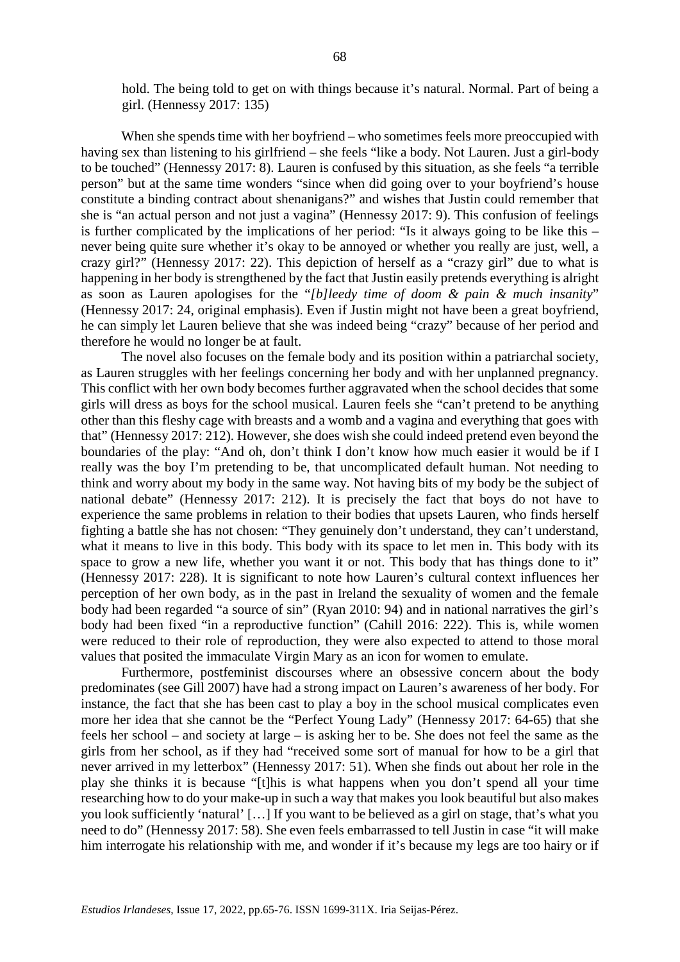hold. The being told to get on with things because it's natural. Normal. Part of being a girl. (Hennessy 2017: 135)

When she spends time with her boyfriend – who sometimes feels more preoccupied with having sex than listening to his girlfriend – she feels "like a body. Not Lauren. Just a girl-body to be touched" (Hennessy 2017: 8). Lauren is confused by this situation, as she feels "a terrible person" but at the same time wonders "since when did going over to your boyfriend's house constitute a binding contract about shenanigans?" and wishes that Justin could remember that she is "an actual person and not just a vagina" (Hennessy 2017: 9). This confusion of feelings is further complicated by the implications of her period: "Is it always going to be like this – never being quite sure whether it's okay to be annoyed or whether you really are just, well, a crazy girl?" (Hennessy 2017: 22). This depiction of herself as a "crazy girl" due to what is happening in her body is strengthened by the fact that Justin easily pretends everything is alright as soon as Lauren apologises for the "*[b]leedy time of doom & pain & much insanity*" (Hennessy 2017: 24, original emphasis). Even if Justin might not have been a great boyfriend, he can simply let Lauren believe that she was indeed being "crazy" because of her period and therefore he would no longer be at fault.

The novel also focuses on the female body and its position within a patriarchal society, as Lauren struggles with her feelings concerning her body and with her unplanned pregnancy. This conflict with her own body becomes further aggravated when the school decides that some girls will dress as boys for the school musical. Lauren feels she "can't pretend to be anything other than this fleshy cage with breasts and a womb and a vagina and everything that goes with that" (Hennessy 2017: 212). However, she does wish she could indeed pretend even beyond the boundaries of the play: "And oh, don't think I don't know how much easier it would be if I really was the boy I'm pretending to be, that uncomplicated default human. Not needing to think and worry about my body in the same way. Not having bits of my body be the subject of national debate" (Hennessy 2017: 212). It is precisely the fact that boys do not have to experience the same problems in relation to their bodies that upsets Lauren, who finds herself fighting a battle she has not chosen: "They genuinely don't understand, they can't understand, what it means to live in this body. This body with its space to let men in. This body with its space to grow a new life, whether you want it or not. This body that has things done to it" (Hennessy 2017: 228). It is significant to note how Lauren's cultural context influences her perception of her own body, as in the past in Ireland the sexuality of women and the female body had been regarded "a source of sin" (Ryan 2010: 94) and in national narratives the girl's body had been fixed "in a reproductive function" (Cahill 2016: 222). This is, while women were reduced to their role of reproduction, they were also expected to attend to those moral values that posited the immaculate Virgin Mary as an icon for women to emulate.

Furthermore, postfeminist discourses where an obsessive concern about the body predominates (see Gill 2007) have had a strong impact on Lauren's awareness of her body. For instance, the fact that she has been cast to play a boy in the school musical complicates even more her idea that she cannot be the "Perfect Young Lady" (Hennessy 2017: 64-65) that she feels her school – and society at large – is asking her to be. She does not feel the same as the girls from her school, as if they had "received some sort of manual for how to be a girl that never arrived in my letterbox" (Hennessy 2017: 51). When she finds out about her role in the play she thinks it is because "[t]his is what happens when you don't spend all your time researching how to do your make-up in such a way that makes you look beautiful but also makes you look sufficiently 'natural' […] If you want to be believed as a girl on stage, that's what you need to do" (Hennessy 2017: 58). She even feels embarrassed to tell Justin in case "it will make him interrogate his relationship with me, and wonder if it's because my legs are too hairy or if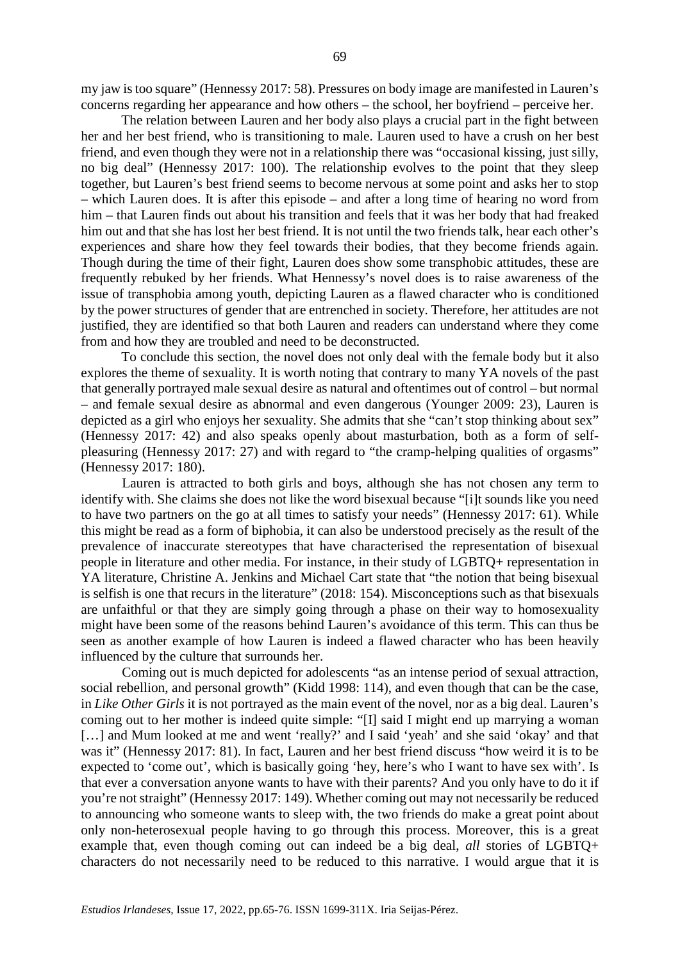my jaw is too square" (Hennessy 2017: 58). Pressures on body image are manifested in Lauren's concerns regarding her appearance and how others – the school, her boyfriend – perceive her.

The relation between Lauren and her body also plays a crucial part in the fight between her and her best friend, who is transitioning to male. Lauren used to have a crush on her best friend, and even though they were not in a relationship there was "occasional kissing, just silly, no big deal" (Hennessy 2017: 100). The relationship evolves to the point that they sleep together, but Lauren's best friend seems to become nervous at some point and asks her to stop – which Lauren does. It is after this episode – and after a long time of hearing no word from him – that Lauren finds out about his transition and feels that it was her body that had freaked him out and that she has lost her best friend. It is not until the two friends talk, hear each other's experiences and share how they feel towards their bodies, that they become friends again. Though during the time of their fight, Lauren does show some transphobic attitudes, these are frequently rebuked by her friends. What Hennessy's novel does is to raise awareness of the issue of transphobia among youth, depicting Lauren as a flawed character who is conditioned by the power structures of gender that are entrenched in society. Therefore, her attitudes are not justified, they are identified so that both Lauren and readers can understand where they come from and how they are troubled and need to be deconstructed.

To conclude this section, the novel does not only deal with the female body but it also explores the theme of sexuality. It is worth noting that contrary to many YA novels of the past that generally portrayed male sexual desire as natural and oftentimes out of control – but normal – and female sexual desire as abnormal and even dangerous (Younger 2009: 23), Lauren is depicted as a girl who enjoys her sexuality. She admits that she "can't stop thinking about sex" (Hennessy 2017: 42) and also speaks openly about masturbation, both as a form of selfpleasuring (Hennessy 2017: 27) and with regard to "the cramp-helping qualities of orgasms" (Hennessy 2017: 180).

Lauren is attracted to both girls and boys, although she has not chosen any term to identify with. She claims she does not like the word bisexual because "[i]t sounds like you need to have two partners on the go at all times to satisfy your needs" (Hennessy 2017: 61). While this might be read as a form of biphobia, it can also be understood precisely as the result of the prevalence of inaccurate stereotypes that have characterised the representation of bisexual people in literature and other media. For instance, in their study of LGBTQ+ representation in YA literature, Christine A. Jenkins and Michael Cart state that "the notion that being bisexual is selfish is one that recurs in the literature" (2018: 154). Misconceptions such as that bisexuals are unfaithful or that they are simply going through a phase on their way to homosexuality might have been some of the reasons behind Lauren's avoidance of this term. This can thus be seen as another example of how Lauren is indeed a flawed character who has been heavily influenced by the culture that surrounds her.

Coming out is much depicted for adolescents "as an intense period of sexual attraction, social rebellion, and personal growth" (Kidd 1998: 114), and even though that can be the case, in *Like Other Girls* it is not portrayed as the main event of the novel, nor as a big deal. Lauren's coming out to her mother is indeed quite simple: "[I] said I might end up marrying a woman [...] and Mum looked at me and went 'really?' and I said 'yeah' and she said 'okay' and that was it" (Hennessy 2017: 81). In fact, Lauren and her best friend discuss "how weird it is to be expected to 'come out', which is basically going 'hey, here's who I want to have sex with'. Is that ever a conversation anyone wants to have with their parents? And you only have to do it if you're not straight" (Hennessy 2017: 149). Whether coming out may not necessarily be reduced to announcing who someone wants to sleep with, the two friends do make a great point about only non-heterosexual people having to go through this process. Moreover, this is a great example that, even though coming out can indeed be a big deal, *all* stories of LGBTQ+ characters do not necessarily need to be reduced to this narrative. I would argue that it is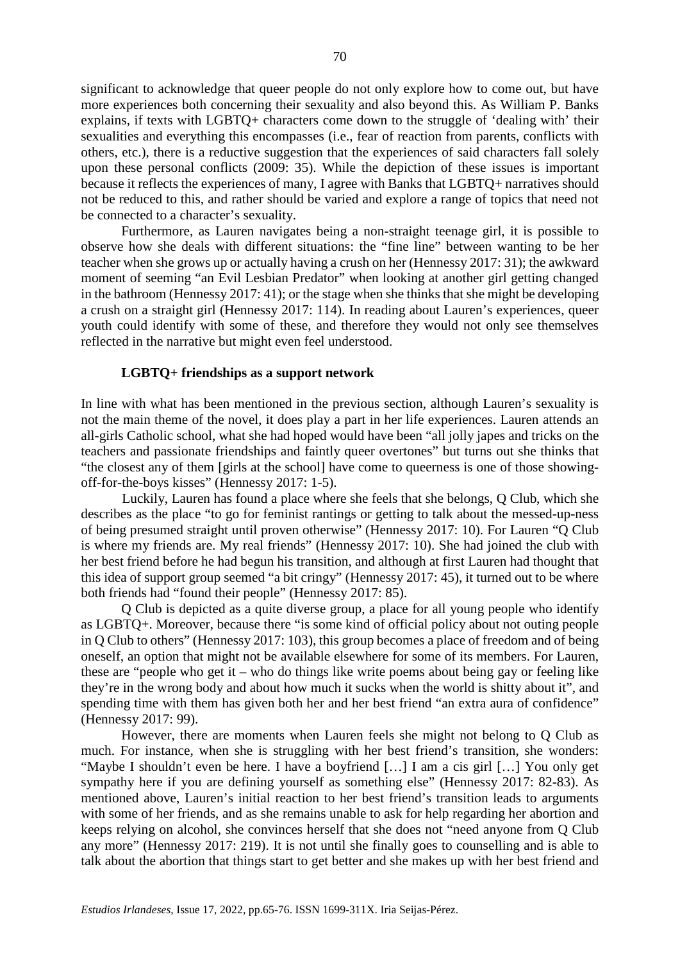significant to acknowledge that queer people do not only explore how to come out, but have more experiences both concerning their sexuality and also beyond this. As William P. Banks explains, if texts with LGBTQ+ characters come down to the struggle of 'dealing with' their sexualities and everything this encompasses (i.e., fear of reaction from parents, conflicts with others, etc.), there is a reductive suggestion that the experiences of said characters fall solely upon these personal conflicts (2009: 35). While the depiction of these issues is important because it reflects the experiences of many, I agree with Banks that LGBTQ+ narratives should not be reduced to this, and rather should be varied and explore a range of topics that need not be connected to a character's sexuality.

Furthermore, as Lauren navigates being a non-straight teenage girl, it is possible to observe how she deals with different situations: the "fine line" between wanting to be her teacher when she grows up or actually having a crush on her (Hennessy 2017: 31); the awkward moment of seeming "an Evil Lesbian Predator" when looking at another girl getting changed in the bathroom (Hennessy 2017: 41); or the stage when she thinks that she might be developing a crush on a straight girl (Hennessy 2017: 114). In reading about Lauren's experiences, queer youth could identify with some of these, and therefore they would not only see themselves reflected in the narrative but might even feel understood.

#### **LGBTQ+ friendships as a support network**

In line with what has been mentioned in the previous section, although Lauren's sexuality is not the main theme of the novel, it does play a part in her life experiences. Lauren attends an all-girls Catholic school, what she had hoped would have been "all jolly japes and tricks on the teachers and passionate friendships and faintly queer overtones" but turns out she thinks that "the closest any of them [girls at the school] have come to queerness is one of those showingoff-for-the-boys kisses" (Hennessy 2017: 1-5).

Luckily, Lauren has found a place where she feels that she belongs, Q Club, which she describes as the place "to go for feminist rantings or getting to talk about the messed-up-ness of being presumed straight until proven otherwise" (Hennessy 2017: 10). For Lauren "Q Club is where my friends are. My real friends" (Hennessy 2017: 10). She had joined the club with her best friend before he had begun his transition, and although at first Lauren had thought that this idea of support group seemed "a bit cringy" (Hennessy 2017: 45), it turned out to be where both friends had "found their people" (Hennessy 2017: 85).

Q Club is depicted as a quite diverse group, a place for all young people who identify as LGBTQ+. Moreover, because there "is some kind of official policy about not outing people in Q Club to others" (Hennessy 2017: 103), this group becomes a place of freedom and of being oneself, an option that might not be available elsewhere for some of its members. For Lauren, these are "people who get it – who do things like write poems about being gay or feeling like they're in the wrong body and about how much it sucks when the world is shitty about it", and spending time with them has given both her and her best friend "an extra aura of confidence" (Hennessy 2017: 99).

However, there are moments when Lauren feels she might not belong to Q Club as much. For instance, when she is struggling with her best friend's transition, she wonders: "Maybe I shouldn't even be here. I have a boyfriend […] I am a cis girl […] You only get sympathy here if you are defining yourself as something else" (Hennessy 2017: 82-83). As mentioned above, Lauren's initial reaction to her best friend's transition leads to arguments with some of her friends, and as she remains unable to ask for help regarding her abortion and keeps relying on alcohol, she convinces herself that she does not "need anyone from Q Club any more" (Hennessy 2017: 219). It is not until she finally goes to counselling and is able to talk about the abortion that things start to get better and she makes up with her best friend and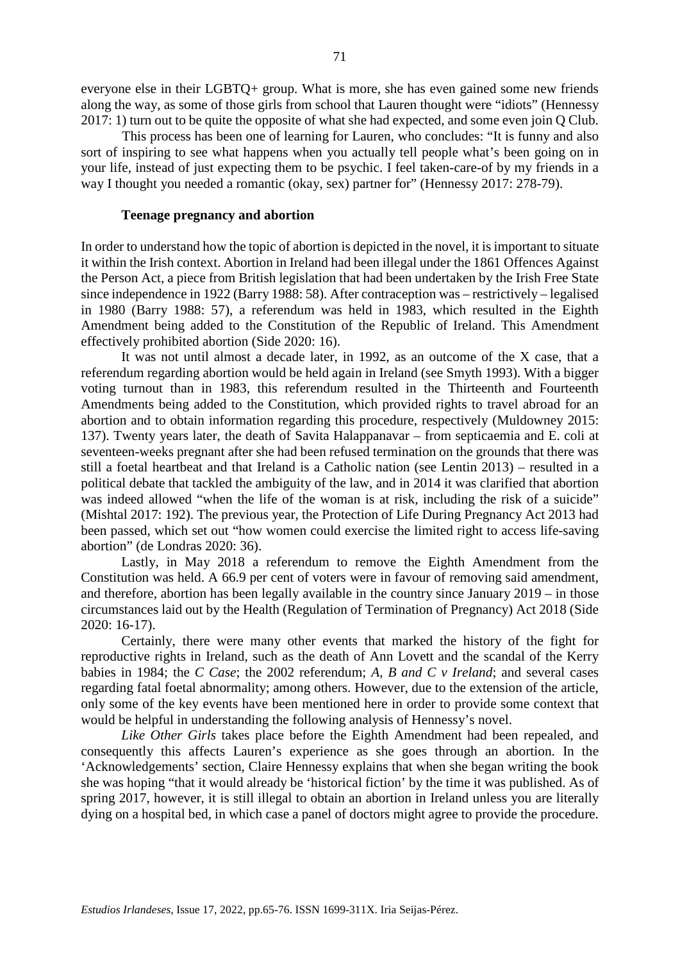everyone else in their LGBTQ+ group. What is more, she has even gained some new friends along the way, as some of those girls from school that Lauren thought were "idiots" (Hennessy 2017: 1) turn out to be quite the opposite of what she had expected, and some even join Q Club.

This process has been one of learning for Lauren, who concludes: "It is funny and also sort of inspiring to see what happens when you actually tell people what's been going on in your life, instead of just expecting them to be psychic. I feel taken-care-of by my friends in a way I thought you needed a romantic (okay, sex) partner for" (Hennessy 2017: 278-79).

#### **Teenage pregnancy and abortion**

In order to understand how the topic of abortion is depicted in the novel, it is important to situate it within the Irish context. Abortion in Ireland had been illegal under the 1861 Offences Against the Person Act, a piece from British legislation that had been undertaken by the Irish Free State since independence in 1922 (Barry 1988: 58). After contraception was – restrictively – legalised in 1980 (Barry 1988: 57), a referendum was held in 1983, which resulted in the Eighth Amendment being added to the Constitution of the Republic of Ireland. This Amendment effectively prohibited abortion (Side 2020: 16).

It was not until almost a decade later, in 1992, as an outcome of the X case, that a referendum regarding abortion would be held again in Ireland (see Smyth 1993). With a bigger voting turnout than in 1983, this referendum resulted in the Thirteenth and Fourteenth Amendments being added to the Constitution, which provided rights to travel abroad for an abortion and to obtain information regarding this procedure, respectively (Muldowney 2015: 137). Twenty years later, the death of Savita Halappanavar – from septicaemia and E. coli at seventeen-weeks pregnant after she had been refused termination on the grounds that there was still a foetal heartbeat and that Ireland is a Catholic nation (see Lentin 2013) – resulted in a political debate that tackled the ambiguity of the law, and in 2014 it was clarified that abortion was indeed allowed "when the life of the woman is at risk, including the risk of a suicide" (Mishtal 2017: 192). The previous year, the Protection of Life During Pregnancy Act 2013 had been passed, which set out "how women could exercise the limited right to access life-saving abortion" (de Londras 2020: 36).

Lastly, in May 2018 a referendum to remove the Eighth Amendment from the Constitution was held. A 66.9 per cent of voters were in favour of removing said amendment, and therefore, abortion has been legally available in the country since January 2019 – in those circumstances laid out by the Health (Regulation of Termination of Pregnancy) Act 2018 (Side 2020: 16-17).

Certainly, there were many other events that marked the history of the fight for reproductive rights in Ireland, such as the death of Ann Lovett and the scandal of the Kerry babies in 1984; the *C Case*; the 2002 referendum; *A, B and C v Ireland*; and several cases regarding fatal foetal abnormality; among others. However, due to the extension of the article, only some of the key events have been mentioned here in order to provide some context that would be helpful in understanding the following analysis of Hennessy's novel.

*Like Other Girls* takes place before the Eighth Amendment had been repealed, and consequently this affects Lauren's experience as she goes through an abortion. In the 'Acknowledgements' section, Claire Hennessy explains that when she began writing the book she was hoping "that it would already be 'historical fiction' by the time it was published. As of spring 2017, however, it is still illegal to obtain an abortion in Ireland unless you are literally dying on a hospital bed, in which case a panel of doctors might agree to provide the procedure.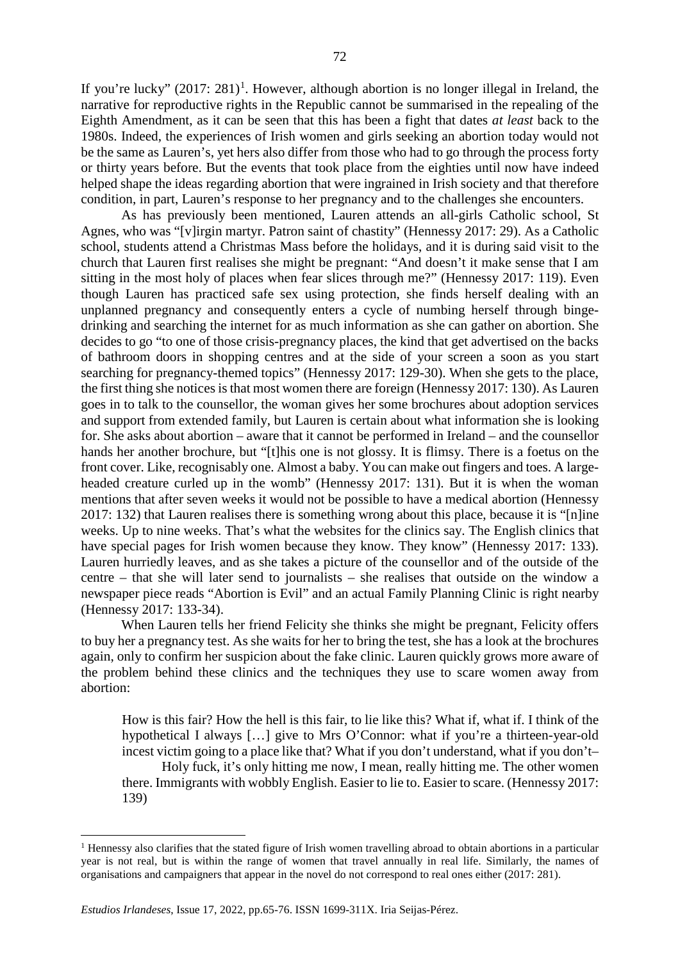If you're lucky"  $(2017: 281)^1$  $(2017: 281)^1$  $(2017: 281)^1$ . However, although abortion is no longer illegal in Ireland, the narrative for reproductive rights in the Republic cannot be summarised in the repealing of the Eighth Amendment, as it can be seen that this has been a fight that dates *at least* back to the 1980s. Indeed, the experiences of Irish women and girls seeking an abortion today would not be the same as Lauren's, yet hers also differ from those who had to go through the process forty or thirty years before. But the events that took place from the eighties until now have indeed helped shape the ideas regarding abortion that were ingrained in Irish society and that therefore condition, in part, Lauren's response to her pregnancy and to the challenges she encounters.

As has previously been mentioned, Lauren attends an all-girls Catholic school, St Agnes, who was "[v]irgin martyr. Patron saint of chastity" (Hennessy 2017: 29). As a Catholic school, students attend a Christmas Mass before the holidays, and it is during said visit to the church that Lauren first realises she might be pregnant: "And doesn't it make sense that I am sitting in the most holy of places when fear slices through me?" (Hennessy 2017: 119). Even though Lauren has practiced safe sex using protection, she finds herself dealing with an unplanned pregnancy and consequently enters a cycle of numbing herself through bingedrinking and searching the internet for as much information as she can gather on abortion. She decides to go "to one of those crisis-pregnancy places, the kind that get advertised on the backs of bathroom doors in shopping centres and at the side of your screen a soon as you start searching for pregnancy-themed topics" (Hennessy 2017: 129-30). When she gets to the place, the first thing she notices is that most women there are foreign (Hennessy 2017: 130). As Lauren goes in to talk to the counsellor, the woman gives her some brochures about adoption services and support from extended family, but Lauren is certain about what information she is looking for. She asks about abortion – aware that it cannot be performed in Ireland – and the counsellor hands her another brochure, but "[t]his one is not glossy. It is flimsy. There is a foetus on the front cover. Like, recognisably one. Almost a baby. You can make out fingers and toes. A largeheaded creature curled up in the womb" (Hennessy 2017: 131). But it is when the woman mentions that after seven weeks it would not be possible to have a medical abortion (Hennessy 2017: 132) that Lauren realises there is something wrong about this place, because it is "[n]ine weeks. Up to nine weeks. That's what the websites for the clinics say. The English clinics that have special pages for Irish women because they know. They know" (Hennessy 2017: 133). Lauren hurriedly leaves, and as she takes a picture of the counsellor and of the outside of the centre – that she will later send to journalists – she realises that outside on the window a newspaper piece reads "Abortion is Evil" and an actual Family Planning Clinic is right nearby (Hennessy 2017: 133-34).

When Lauren tells her friend Felicity she thinks she might be pregnant, Felicity offers to buy her a pregnancy test. As she waits for her to bring the test, she has a look at the brochures again, only to confirm her suspicion about the fake clinic. Lauren quickly grows more aware of the problem behind these clinics and the techniques they use to scare women away from abortion:

How is this fair? How the hell is this fair, to lie like this? What if, what if. I think of the hypothetical I always […] give to Mrs O'Connor: what if you're a thirteen-year-old incest victim going to a place like that? What if you don't understand, what if you don't– Holy fuck, it's only hitting me now, I mean, really hitting me. The other women there. Immigrants with wobbly English. Easier to lie to. Easier to scare. (Hennessy 2017: 139)

<span id="page-7-0"></span><sup>&</sup>lt;sup>1</sup> Hennessy also clarifies that the stated figure of Irish women travelling abroad to obtain abortions in a particular year is not real, but is within the range of women that travel annually in real life. Similarly, the names of organisations and campaigners that appear in the novel do not correspond to real ones either (2017: 281).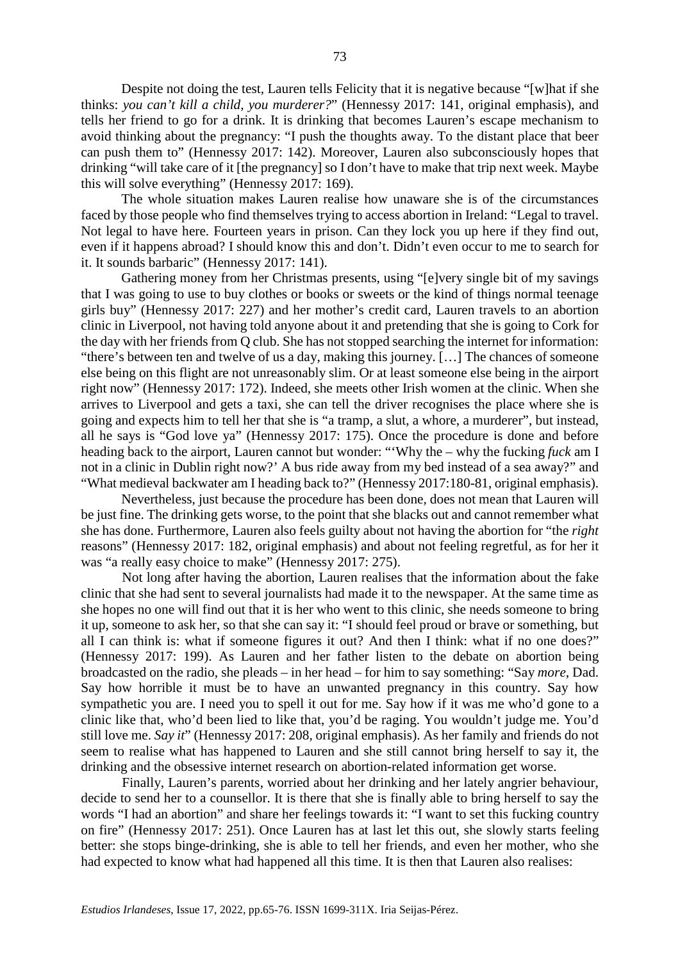Despite not doing the test, Lauren tells Felicity that it is negative because "[w]hat if she thinks: *you can't kill a child, you murderer?*" (Hennessy 2017: 141, original emphasis), and tells her friend to go for a drink. It is drinking that becomes Lauren's escape mechanism to avoid thinking about the pregnancy: "I push the thoughts away. To the distant place that beer can push them to" (Hennessy 2017: 142). Moreover, Lauren also subconsciously hopes that drinking "will take care of it [the pregnancy] so I don't have to make that trip next week. Maybe this will solve everything" (Hennessy 2017: 169).

The whole situation makes Lauren realise how unaware she is of the circumstances faced by those people who find themselves trying to access abortion in Ireland: "Legal to travel. Not legal to have here. Fourteen years in prison. Can they lock you up here if they find out, even if it happens abroad? I should know this and don't. Didn't even occur to me to search for it. It sounds barbaric" (Hennessy 2017: 141).

Gathering money from her Christmas presents, using "[e]very single bit of my savings that I was going to use to buy clothes or books or sweets or the kind of things normal teenage girls buy" (Hennessy 2017: 227) and her mother's credit card, Lauren travels to an abortion clinic in Liverpool, not having told anyone about it and pretending that she is going to Cork for the day with her friends from Q club. She has not stopped searching the internet for information: "there's between ten and twelve of us a day, making this journey. […] The chances of someone else being on this flight are not unreasonably slim. Or at least someone else being in the airport right now" (Hennessy 2017: 172). Indeed, she meets other Irish women at the clinic. When she arrives to Liverpool and gets a taxi, she can tell the driver recognises the place where she is going and expects him to tell her that she is "a tramp, a slut, a whore, a murderer", but instead, all he says is "God love ya" (Hennessy 2017: 175). Once the procedure is done and before heading back to the airport, Lauren cannot but wonder: "'Why the – why the fucking *fuck* am I not in a clinic in Dublin right now?' A bus ride away from my bed instead of a sea away?" and "What medieval backwater am I heading back to?" (Hennessy 2017:180-81, original emphasis).

Nevertheless, just because the procedure has been done, does not mean that Lauren will be just fine. The drinking gets worse, to the point that she blacks out and cannot remember what she has done. Furthermore, Lauren also feels guilty about not having the abortion for "the *right*  reasons" (Hennessy 2017: 182, original emphasis) and about not feeling regretful, as for her it was "a really easy choice to make" (Hennessy 2017: 275).

Not long after having the abortion, Lauren realises that the information about the fake clinic that she had sent to several journalists had made it to the newspaper. At the same time as she hopes no one will find out that it is her who went to this clinic, she needs someone to bring it up, someone to ask her, so that she can say it: "I should feel proud or brave or something, but all I can think is: what if someone figures it out? And then I think: what if no one does?" (Hennessy 2017: 199). As Lauren and her father listen to the debate on abortion being broadcasted on the radio, she pleads – in her head – for him to say something: "Say *more*, Dad. Say how horrible it must be to have an unwanted pregnancy in this country. Say how sympathetic you are. I need you to spell it out for me. Say how if it was me who'd gone to a clinic like that, who'd been lied to like that, you'd be raging. You wouldn't judge me. You'd still love me. *Say it*" (Hennessy 2017: 208, original emphasis). As her family and friends do not seem to realise what has happened to Lauren and she still cannot bring herself to say it, the drinking and the obsessive internet research on abortion-related information get worse.

Finally, Lauren's parents, worried about her drinking and her lately angrier behaviour, decide to send her to a counsellor. It is there that she is finally able to bring herself to say the words "I had an abortion" and share her feelings towards it: "I want to set this fucking country on fire" (Hennessy 2017: 251). Once Lauren has at last let this out, she slowly starts feeling better: she stops binge-drinking, she is able to tell her friends, and even her mother, who she had expected to know what had happened all this time. It is then that Lauren also realises: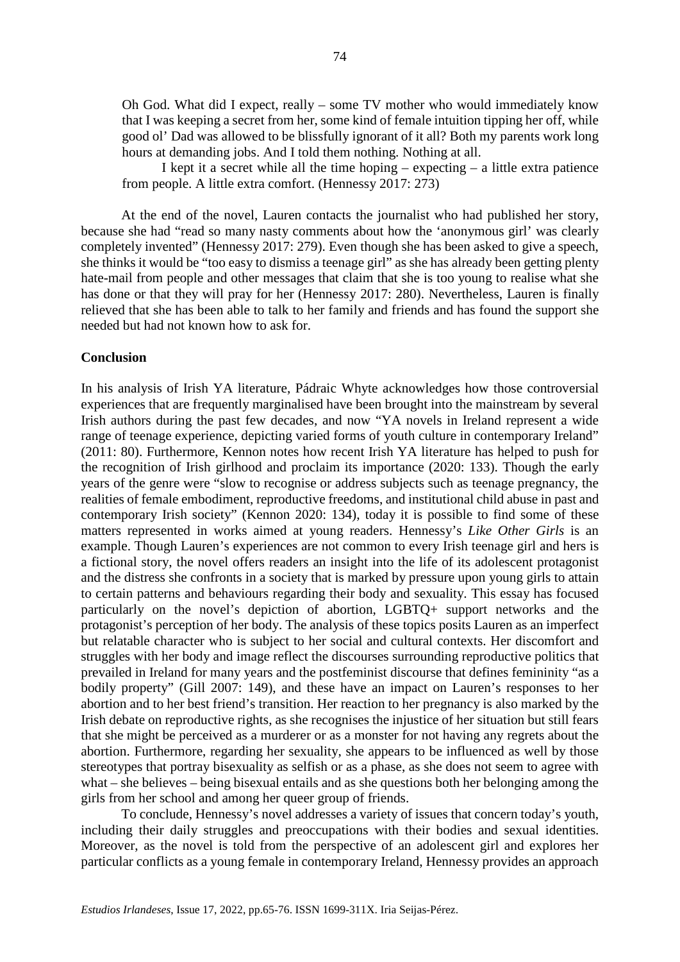Oh God. What did I expect, really – some TV mother who would immediately know that I was keeping a secret from her, some kind of female intuition tipping her off, while good ol' Dad was allowed to be blissfully ignorant of it all? Both my parents work long hours at demanding jobs. And I told them nothing. Nothing at all.

I kept it a secret while all the time hoping – expecting – a little extra patience from people. A little extra comfort. (Hennessy 2017: 273)

At the end of the novel, Lauren contacts the journalist who had published her story, because she had "read so many nasty comments about how the 'anonymous girl' was clearly completely invented" (Hennessy 2017: 279). Even though she has been asked to give a speech, she thinks it would be "too easy to dismiss a teenage girl" as she has already been getting plenty hate-mail from people and other messages that claim that she is too young to realise what she has done or that they will pray for her (Hennessy 2017: 280). Nevertheless, Lauren is finally relieved that she has been able to talk to her family and friends and has found the support she needed but had not known how to ask for.

## **Conclusion**

In his analysis of Irish YA literature, Pádraic Whyte acknowledges how those controversial experiences that are frequently marginalised have been brought into the mainstream by several Irish authors during the past few decades, and now "YA novels in Ireland represent a wide range of teenage experience, depicting varied forms of youth culture in contemporary Ireland" (2011: 80). Furthermore, Kennon notes how recent Irish YA literature has helped to push for the recognition of Irish girlhood and proclaim its importance (2020: 133). Though the early years of the genre were "slow to recognise or address subjects such as teenage pregnancy, the realities of female embodiment, reproductive freedoms, and institutional child abuse in past and contemporary Irish society" (Kennon 2020: 134), today it is possible to find some of these matters represented in works aimed at young readers. Hennessy's *Like Other Girls* is an example. Though Lauren's experiences are not common to every Irish teenage girl and hers is a fictional story, the novel offers readers an insight into the life of its adolescent protagonist and the distress she confronts in a society that is marked by pressure upon young girls to attain to certain patterns and behaviours regarding their body and sexuality. This essay has focused particularly on the novel's depiction of abortion, LGBTQ+ support networks and the protagonist's perception of her body. The analysis of these topics posits Lauren as an imperfect but relatable character who is subject to her social and cultural contexts. Her discomfort and struggles with her body and image reflect the discourses surrounding reproductive politics that prevailed in Ireland for many years and the postfeminist discourse that defines femininity "as a bodily property" (Gill 2007: 149), and these have an impact on Lauren's responses to her abortion and to her best friend's transition. Her reaction to her pregnancy is also marked by the Irish debate on reproductive rights, as she recognises the injustice of her situation but still fears that she might be perceived as a murderer or as a monster for not having any regrets about the abortion. Furthermore, regarding her sexuality, she appears to be influenced as well by those stereotypes that portray bisexuality as selfish or as a phase, as she does not seem to agree with what – she believes – being bisexual entails and as she questions both her belonging among the girls from her school and among her queer group of friends.

To conclude, Hennessy's novel addresses a variety of issues that concern today's youth, including their daily struggles and preoccupations with their bodies and sexual identities. Moreover, as the novel is told from the perspective of an adolescent girl and explores her particular conflicts as a young female in contemporary Ireland, Hennessy provides an approach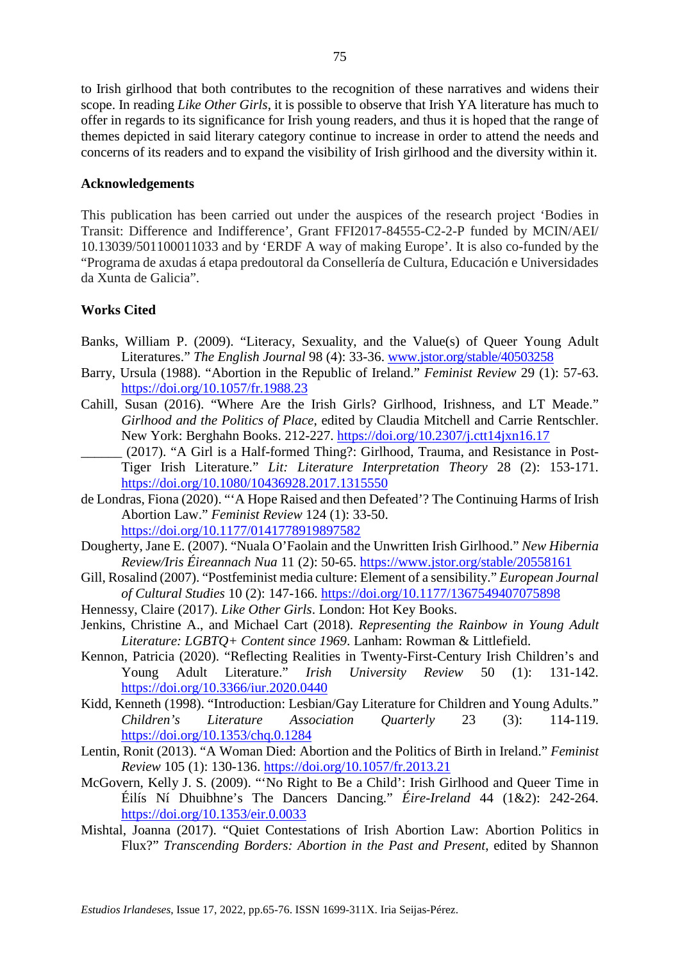to Irish girlhood that both contributes to the recognition of these narratives and widens their scope. In reading *Like Other Girls*, it is possible to observe that Irish YA literature has much to offer in regards to its significance for Irish young readers, and thus it is hoped that the range of themes depicted in said literary category continue to increase in order to attend the needs and concerns of its readers and to expand the visibility of Irish girlhood and the diversity within it.

## **Acknowledgements**

This publication has been carried out under the auspices of the research project 'Bodies in Transit: Difference and Indifference', Grant FFI2017-84555-C2-2-P funded by MCIN/AEI/ 10.13039/501100011033 and by 'ERDF A way of making Europe'. It is also co-funded by the "Programa de axudas á etapa predoutoral da Consellería de Cultura, Educación e Universidades da Xunta de Galicia".

# **Works Cited**

- Banks, William P. (2009). "Literacy, Sexuality, and the Value(s) of Queer Young Adult Literatures." *The English Journal* 98 (4): 33-36. [www.jstor.org/stable/40503258](http://www.jstor.org/stable/40503258)
- Barry, Ursula (1988). "Abortion in the Republic of Ireland." *Feminist Review* 29 (1): 57-63. <https://doi.org/10.1057/fr.1988.23>
- Cahill, Susan (2016). "Where Are the Irish Girls? Girlhood, Irishness, and LT Meade." *Girlhood and the Politics of Place*, edited by Claudia Mitchell and Carrie Rentschler. New York: Berghahn Books. 212-227.<https://doi.org/10.2307/j.ctt14jxn16.17>
- \_\_\_\_\_\_ (2017). "A Girl is a Half-formed Thing?: Girlhood, Trauma, and Resistance in Post-Tiger Irish Literature." *Lit: Literature Interpretation Theory* 28 (2): 153-171. <https://doi.org/10.1080/10436928.2017.1315550>
- de Londras, Fiona (2020). "'A Hope Raised and then Defeated'? The Continuing Harms of Irish Abortion Law." *Feminist Review* 124 (1): 33-50. <https://doi.org/10.1177/0141778919897582>
- Dougherty, Jane E. (2007). "Nuala O'Faolain and the Unwritten Irish Girlhood." *New Hibernia Review/Iris Éireannach Nua* 11 (2): 50-65.<https://www.jstor.org/stable/20558161>
- Gill, Rosalind (2007). "Postfeminist media culture: Element of a sensibility." *European Journal of Cultural Studies* 10 (2): 147-166.<https://doi.org/10.1177/1367549407075898>
- Hennessy, Claire (2017). *Like Other Girls*. London: Hot Key Books.
- Jenkins, Christine A., and Michael Cart (2018). *Representing the Rainbow in Young Adult Literature: LGBTQ+ Content since 1969*. Lanham: Rowman & Littlefield.
- Kennon, Patricia (2020). "Reflecting Realities in Twenty-First-Century Irish Children's and Young Adult Literature." *Irish University Review* 50 (1): 131-142. <https://doi.org/10.3366/iur.2020.0440>
- Kidd, Kenneth (1998). "Introduction: Lesbian/Gay Literature for Children and Young Adults." *Children's Literature Association Quarterly* 23 (3): 114-119. <https://doi.org/10.1353/chq.0.1284>
- Lentin, Ronit (2013). "A Woman Died: Abortion and the Politics of Birth in Ireland." *Feminist Review* 105 (1): 130-136.<https://doi.org/10.1057/fr.2013.21>
- McGovern, Kelly J. S. (2009). "'No Right to Be a Child': Irish Girlhood and Queer Time in Éilís Ní Dhuibhne's The Dancers Dancing." *Éire-Ireland* 44 (1&2): 242-264. <https://doi.org/10.1353/eir.0.0033>
- Mishtal, Joanna (2017). "Quiet Contestations of Irish Abortion Law: Abortion Politics in Flux?" *Transcending Borders: Abortion in the Past and Present*, edited by Shannon